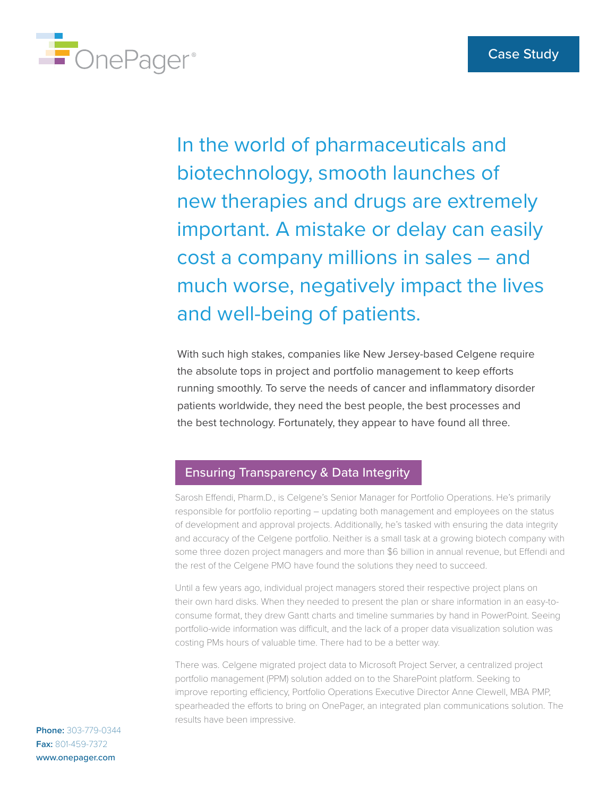

In the world of pharmaceuticals and biotechnology, smooth launches of new therapies and drugs are extremely important. A mistake or delay can easily cost a company millions in sales – and much worse, negatively impact the lives and well-being of patients.

With such high stakes, companies like New Jersey-based Celgene require the absolute tops in project and portfolio management to keep efforts running smoothly. To serve the needs of cancer and inflammatory disorder patients worldwide, they need the best people, the best processes and the best technology. Fortunately, they appear to have found all three.

## Ensuring Transparency & Data Integrity

Sarosh Effendi, Pharm.D., is Celgene's Senior Manager for Portfolio Operations. He's primarily responsible for portfolio reporting – updating both management and employees on the status of development and approval projects. Additionally, he's tasked with ensuring the data integrity and accuracy of the Celgene portfolio. Neither is a small task at a growing biotech company with some three dozen project managers and more than \$6 billion in annual revenue, but Effendi and the rest of the Celgene PMO have found the solutions they need to succeed.

Until a few years ago, individual project managers stored their respective project plans on their own hard disks. When they needed to present the plan or share information in an easy-toconsume format, they drew Gantt charts and timeline summaries by hand in PowerPoint. Seeing portfolio-wide information was difficult, and the lack of a proper data visualization solution was costing PMs hours of valuable time. There had to be a better way.

There was. Celgene migrated project data to Microsoft Project Server, a centralized project portfolio management (PPM) solution added on to the SharePoint platform. Seeking to improve reporting efficiency, Portfolio Operations Executive Director Anne Clewell, MBA PMP, spearheaded the efforts to bring on OnePager, an integrated plan communications solution. The results have been impressive.

**Phone:** 303-779-0344 **Fax:** 801-459-7372 [www.onepager.com](https://www.onepager.com)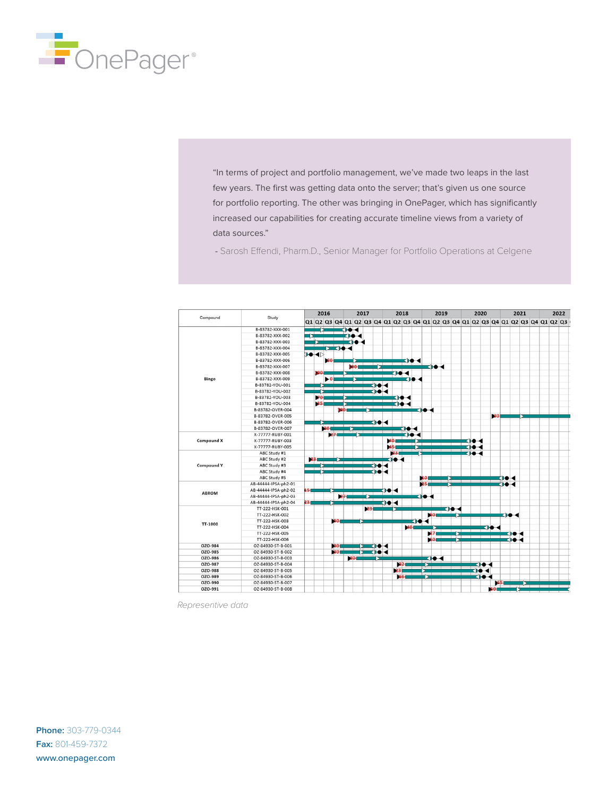

"In terms of project and portfolio management, we've made two leaps in the last few years. The first was getting data onto the server; that's given us one source for portfolio reporting. The other was bringing in OnePager, which has significantly increased our capabilities for creating accurate timeline views from a variety of data sources."

- Sarosh Effendi, Pharm.D., Senior Manager for Portfolio Operations at Celgene

| Compound          | Study                | 2016 |             |                                                                                  |     | 2017         |    |               | 2018 |              |                 |              | 2019                |              |  |      | 2020 |              |              |    |       |      | 2021 | 2022 |  |  |  |
|-------------------|----------------------|------|-------------|----------------------------------------------------------------------------------|-----|--------------|----|---------------|------|--------------|-----------------|--------------|---------------------|--------------|--|------|------|--------------|--------------|----|-------|------|------|------|--|--|--|
|                   |                      |      |             | Q1 Q2 Q3 Q4 Q1 Q2 Q3 Q4 Q1 Q2 Q3 Q4 Q1 Q2 Q3 Q4 Q1 Q2 Q3 Q4 Q1 Q2 Q3 Q4 Q1 Q2 Q3 |     |              |    |               |      |              |                 |              |                     |              |  |      |      |              |              |    |       |      |      |      |  |  |  |
| <b>Bingo</b>      | B-83782-XXX-001      |      |             |                                                                                  |     | 10-4         |    |               |      |              |                 |              |                     |              |  |      |      |              |              |    |       |      |      |      |  |  |  |
|                   | B-83782-XXX-002      |      |             |                                                                                  |     | CDO -4       |    |               |      |              |                 |              |                     |              |  |      |      |              |              |    |       |      |      |      |  |  |  |
|                   | B-83782-XXX-003      |      |             |                                                                                  |     | <b>CHO-4</b> |    |               |      |              |                 |              |                     |              |  |      |      |              |              |    |       |      |      |      |  |  |  |
|                   | B-83782-XXX-004      |      |             | <b>EXIC-4</b>                                                                    |     |              |    |               |      |              |                 |              |                     |              |  |      |      |              |              |    |       |      |      |      |  |  |  |
|                   | B-83782-XXX-005      |      | <b>D-4⊳</b> |                                                                                  |     |              |    |               |      |              |                 |              |                     |              |  |      |      |              |              |    |       |      |      |      |  |  |  |
|                   | B-83782-XXX-006      |      |             | 80                                                                               |     |              |    |               |      |              |                 |              |                     |              |  |      |      |              |              |    |       |      |      |      |  |  |  |
|                   | B-83782-XXX-007      |      |             |                                                                                  |     |              |    |               |      |              |                 |              |                     | сю∢          |  |      |      |              |              |    |       |      |      |      |  |  |  |
|                   | B-83782-XXX-008      |      | 100         |                                                                                  |     |              |    |               |      |              | TIO 4           |              |                     |              |  |      |      |              |              |    |       |      |      |      |  |  |  |
|                   | B-83782-XXX-009      |      |             | ь0                                                                               |     |              |    |               |      |              |                 | CHO⊶         |                     |              |  |      |      |              |              |    |       |      |      |      |  |  |  |
|                   | B-83782-YOU-001      |      |             |                                                                                  |     |              |    | ⊶             |      |              |                 |              |                     |              |  |      |      |              |              |    |       |      |      |      |  |  |  |
|                   | B-83782-YOU-002      |      |             |                                                                                  |     |              |    |               |      |              |                 |              |                     |              |  |      |      |              |              |    |       |      |      |      |  |  |  |
|                   | B-83782-YOU-003      |      | 70          |                                                                                  |     |              |    |               |      |              | сно-к           |              |                     |              |  |      |      |              |              |    |       |      |      |      |  |  |  |
|                   | B-83782-YOU-004      |      |             |                                                                                  |     |              |    |               |      |              | 104             |              |                     |              |  |      |      |              |              |    |       |      |      |      |  |  |  |
|                   | B-83782-OVER-004     |      |             |                                                                                  | 100 |              |    |               |      |              |                 |              | EHO - 4             |              |  |      |      |              |              |    |       |      |      |      |  |  |  |
|                   | B-83782-OVER-005     |      |             |                                                                                  |     |              |    |               |      |              |                 |              |                     |              |  |      |      |              |              | 30 |       |      |      |      |  |  |  |
|                   | B-83782-OVER-006     |      |             |                                                                                  |     |              |    | <b>CHO-4</b>  |      |              |                 |              |                     |              |  |      |      |              |              |    |       |      |      |      |  |  |  |
|                   | B-83782-OVER-007     |      |             | -30                                                                              |     |              |    |               |      |              | ⊲⊶              |              |                     |              |  |      |      |              |              |    |       |      |      |      |  |  |  |
| <b>Compound X</b> | X-77777-RUBY-001     |      |             | 27                                                                               |     |              |    |               |      |              |                 | сно⊸         |                     |              |  |      |      |              |              |    |       |      |      |      |  |  |  |
|                   | X-77777-RUBY-003     |      |             |                                                                                  |     |              |    |               |      | 40.          |                 |              |                     |              |  |      |      | ско-         |              |    |       |      |      |      |  |  |  |
|                   | X-77777-RUBY-005     |      |             |                                                                                  |     |              |    |               |      |              |                 |              |                     |              |  |      |      | 104          |              |    |       |      |      |      |  |  |  |
| <b>Compound Y</b> | ABC Study #1         |      |             |                                                                                  |     |              |    |               |      | 23           |                 |              |                     |              |  |      |      | <b>Cie-d</b> |              |    |       |      |      |      |  |  |  |
|                   | ABC Study #2         |      |             |                                                                                  |     |              |    |               |      | <b>TIO-4</b> |                 |              |                     |              |  |      |      |              |              |    |       |      |      |      |  |  |  |
|                   | ABC Study #3         |      |             |                                                                                  |     |              |    | ા∙            | к    |              |                 |              |                     |              |  |      |      |              |              |    |       |      |      |      |  |  |  |
|                   | ABC Study #4         |      |             |                                                                                  |     |              |    | <b>Cite</b> 4 |      |              |                 |              |                     |              |  |      |      |              |              |    |       |      |      |      |  |  |  |
|                   | ABC Study #5         |      |             |                                                                                  |     |              |    |               |      |              |                 |              |                     |              |  |      |      |              |              |    | све с |      |      |      |  |  |  |
| <b>ABROM</b>      | AB-44444-IPSA-ph2-01 |      |             |                                                                                  |     |              |    |               |      |              |                 |              |                     |              |  |      |      |              |              |    | de 4  |      |      |      |  |  |  |
|                   | AB-44444-IPSA-ph2-02 | s.   |             |                                                                                  |     |              |    |               | не - |              |                 |              |                     |              |  |      |      |              |              |    |       |      |      |      |  |  |  |
|                   | AB-44444-IPSA-ph2-03 |      |             |                                                                                  |     |              |    |               |      |              |                 |              | KII <del>O</del> -4 |              |  |      |      |              |              |    |       |      |      |      |  |  |  |
|                   | AB-44444-IPSA-ph2-04 | 23.  |             |                                                                                  |     |              |    |               | 10 4 |              |                 |              |                     |              |  |      |      |              |              |    |       |      |      |      |  |  |  |
| TT-1000           | TT-222-HSK-001       |      |             |                                                                                  |     |              | 23 |               |      |              |                 |              |                     |              |  | KIO- |      |              |              |    |       |      |      |      |  |  |  |
|                   | TT-222-HSK-002       |      |             |                                                                                  |     |              |    |               |      |              |                 |              |                     | 60           |  |      |      |              |              |    |       | de ∢ |      |      |  |  |  |
|                   | TT-222-HSK-003       |      |             | 60                                                                               |     |              |    |               |      |              |                 | <b>Kie-4</b> |                     |              |  |      |      |              |              |    |       |      |      |      |  |  |  |
|                   | TT-222-HSK-004       |      |             |                                                                                  |     |              |    |               |      |              | 40 <sub>1</sub> |              |                     |              |  |      |      |              |              | 10 |       |      |      |      |  |  |  |
|                   | TT-222-HSK-005       |      |             |                                                                                  |     |              |    |               |      |              |                 |              |                     |              |  |      |      |              |              |    |       |      |      |      |  |  |  |
|                   | TT-222-HSK-006       |      |             |                                                                                  |     |              |    |               |      |              |                 |              |                     |              |  |      |      |              |              |    |       |      |      |      |  |  |  |
| OZO-984           | OZ-84930-ST-B-001    |      |             | mа                                                                               |     |              |    | K⊩O⊦◀         |      |              |                 |              |                     |              |  |      |      |              |              |    |       |      |      |      |  |  |  |
| OZO-985           | OZ-84930-ST-B-002    |      |             | -30                                                                              |     |              |    | <b>KIIO 4</b> |      |              |                 |              |                     |              |  |      |      |              |              |    |       |      |      |      |  |  |  |
| OZO-986           | OZ-84930-ST-B-003    |      |             |                                                                                  |     | 201          |    |               |      |              |                 |              |                     | <b>Kie-4</b> |  |      |      |              |              |    |       |      |      |      |  |  |  |
| OZO-987           | OZ-84930-ST-B-004    |      |             |                                                                                  |     |              |    |               |      |              | -22             |              |                     |              |  |      |      |              | ਵਾ⊷          |    |       |      |      |      |  |  |  |
| OZO-988           | OZ-84930-ST-B-005    |      |             |                                                                                  |     |              |    |               |      | 23           |                 |              |                     |              |  |      |      |              | <b>CIO 4</b> |    |       |      |      |      |  |  |  |
| OZO-989           | OZ-84930-ST-B-006    |      |             |                                                                                  |     |              |    |               |      |              | 66              |              |                     |              |  |      |      |              | <b>Kie-4</b> |    |       |      |      |      |  |  |  |
| OZO-990           | OZ-84930-ST-B-007    |      |             |                                                                                  |     |              |    |               |      |              |                 |              |                     |              |  |      |      |              |              |    | 65.   |      |      |      |  |  |  |
| OZO-991           | OZ-84930-ST-B-008    |      |             |                                                                                  |     |              |    |               |      |              |                 |              |                     |              |  |      |      |              |              | 60 |       |      |      |      |  |  |  |

*Representive data*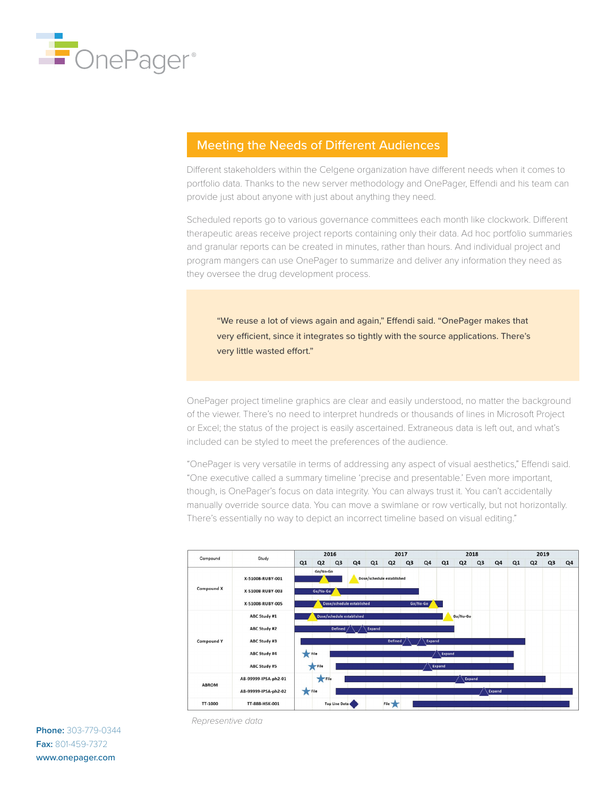

## Meeting the Needs of Different Audiences

Different stakeholders within the Celgene organization have different needs when it comes to portfolio data. Thanks to the new server methodology and OnePager, Effendi and his team can provide just about anyone with just about anything they need.

Scheduled reports go to various governance committees each month like clockwork. Different therapeutic areas receive project reports containing only their data. Ad hoc portfolio summaries and granular reports can be created in minutes, rather than hours. And individual project and program mangers can use OnePager to summarize and deliver any information they need as they oversee the drug development process.

"We reuse a lot of views again and again," Effendi said. "OnePager makes that very efficient, since it integrates so tightly with the source applications. There's very little wasted effort."

OnePager project timeline graphics are clear and easily understood, no matter the background of the viewer. There's no need to interpret hundreds or thousands of lines in Microsoft Project or Excel; the status of the project is easily ascertained. Extraneous data is left out, and what's included can be styled to meet the preferences of the audience.

"OnePager is very versatile in terms of addressing any aspect of visual aesthetics," Effendi said. "One executive called a summary timeline 'precise and presentable.' Even more important, though, is OnePager's focus on data integrity. You can always trust it. You can't accidentally manually override source data. You can move a swimlane or row vertically, but not horizontally. There's essentially no way to depict an incorrect timeline based on visual editing."



**Phone:** 303-779-0344 **Fax:** 801-459-7372 www.onepager.com

*Representive data*